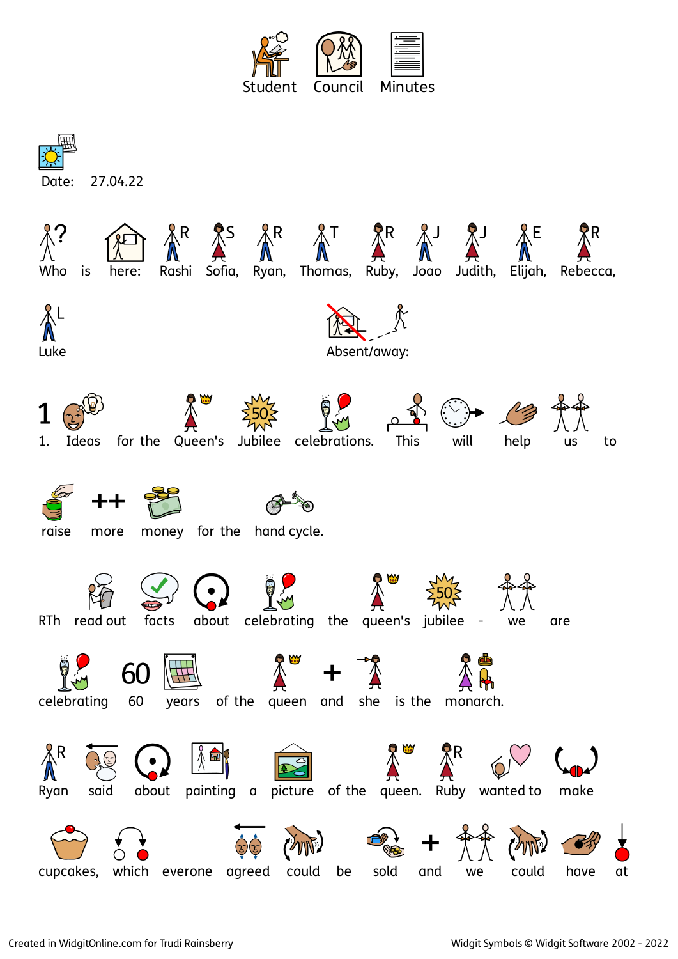

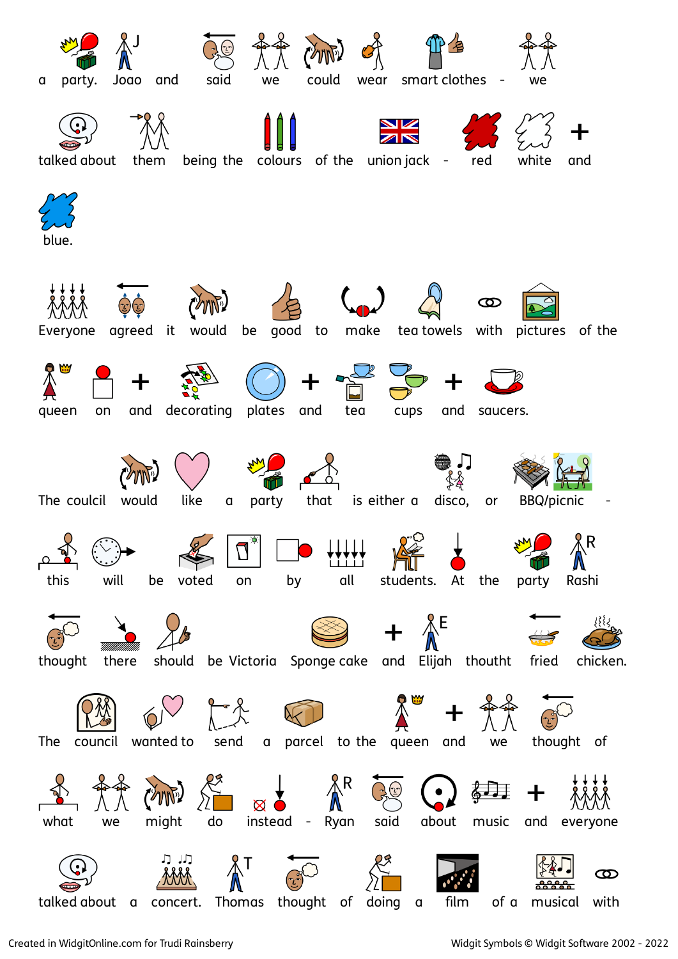